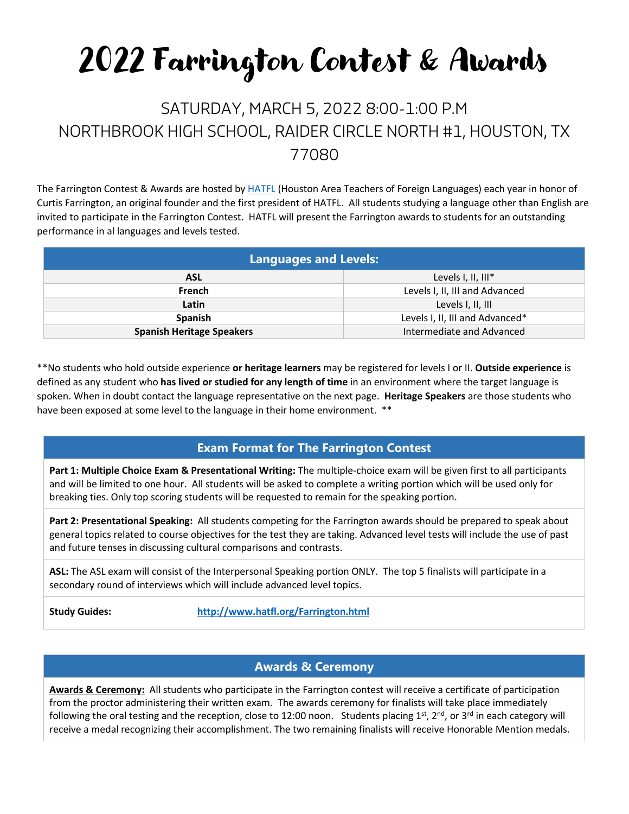# 2022 Farrington Contest & Awards

## SATURDAY, MARCH 5, 2022 8:00-1:00 P.M NORTHBROOK HIGH SCHOOL, RAIDER CIRCLE NORTH #1, HOUSTON, TX 77080

The Farrington Contest & Awards are hosted by [HATFL](http://www.hatfl.org/) (Houston Area Teachers of Foreign Languages) each year in honor of Curtis Farrington, an original founder and the first president of HATFL. All students studying a language other than English are invited to participate in the Farrington Contest. HATFL will present the Farrington awards to students for an outstanding performance in al languages and levels tested.

| <b>Languages and Levels:</b>     |                                 |
|----------------------------------|---------------------------------|
| <b>ASL</b>                       | Levels I, II, III*              |
| <b>French</b>                    | Levels I, II, III and Advanced  |
| Latin                            | Levels I, II, III               |
| <b>Spanish</b>                   | Levels I, II, III and Advanced* |
| <b>Spanish Heritage Speakers</b> | Intermediate and Advanced       |

\*\*No students who hold outside experience **or heritage learners** may be registered for levels I or II. **Outside experience** is defined as any student who **has lived or studied for any length of time** in an environment where the target language is spoken. When in doubt contact the language representative on the next page. **Heritage Speakers** are those students who have been exposed at some level to the language in their home environment. \*\*

#### **Exam Format for The Farrington Contest**

**Part 1: Multiple Choice Exam & Presentational Writing:** The multiple-choice exam will be given first to all participants and will be limited to one hour. All students will be asked to complete a writing portion which will be used only for breaking ties. Only top scoring students will be requested to remain for the speaking portion.

**Part 2: Presentational Speaking:** All students competing for the Farrington awards should be prepared to speak about general topics related to course objectives for the test they are taking. Advanced level tests will include the use of past and future tenses in discussing cultural comparisons and contrasts.

**ASL:** The ASL exam will consist of the Interpersonal Speaking portion ONLY. The top 5 finalists will participate in a secondary round of interviews which will include advanced level topics.

**Study Guides: <http://www.hatfl.org/Farrington.html>**

#### **Awards & Ceremony**

**Awards & Ceremony:** All students who participate in the Farrington contest will receive a certificate of participation from the proctor administering their written exam. The awards ceremony for finalists will take place immediately following the oral testing and the reception, close to 12:00 noon. Students placing  $1<sup>st</sup>$ ,  $2<sup>nd</sup>$ , or  $3<sup>rd</sup>$  in each category will receive a medal recognizing their accomplishment. The two remaining finalists will receive Honorable Mention medals.